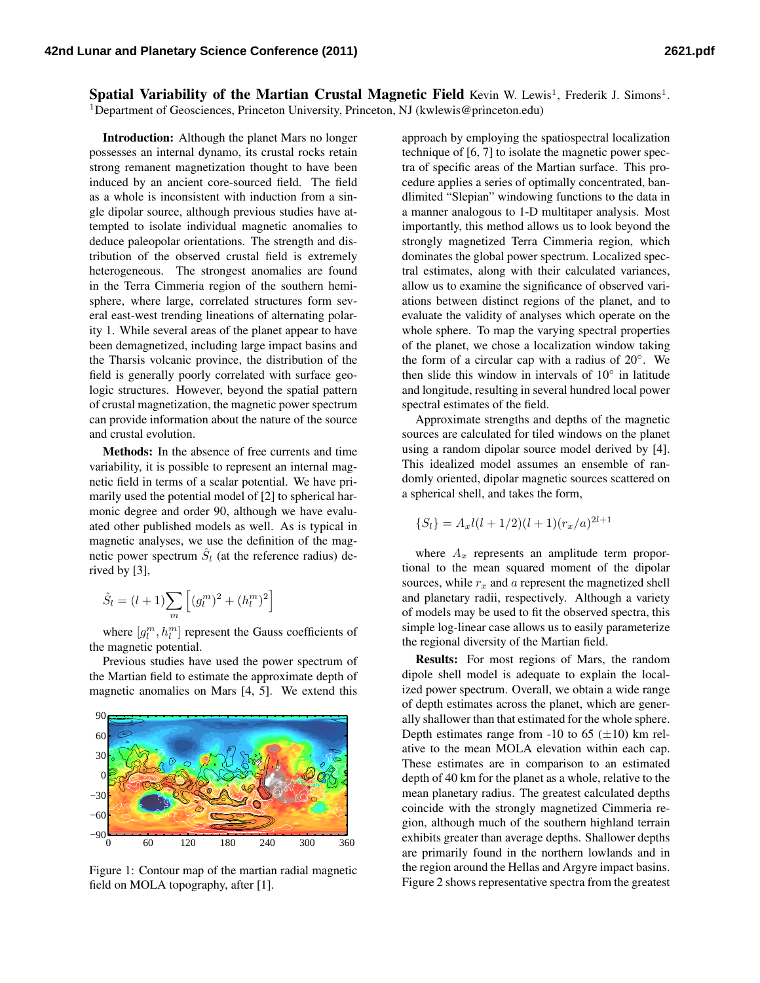Spatial Variability of the Martian Crustal Magnetic Field Kevin W. Lewis<sup>1</sup>, Frederik J. Simons<sup>1</sup>. <sup>1</sup>Department of Geosciences, Princeton University, Princeton, NJ (kwlewis@princeton.edu)

Introduction: Although the planet Mars no longer possesses an internal dynamo, its crustal rocks retain strong remanent magnetization thought to have been induced by an ancient core-sourced field. The field as a whole is inconsistent with induction from a single dipolar source, although previous studies have attempted to isolate individual magnetic anomalies to deduce paleopolar orientations. The strength and distribution of the observed crustal field is extremely heterogeneous. The strongest anomalies are found in the Terra Cimmeria region of the southern hemisphere, where large, correlated structures form several east-west trending lineations of alternating polarity [1.](#page-0-0) While several areas of the planet appear to have been demagnetized, including large impact basins and the Tharsis volcanic province, the distribution of the field is generally poorly correlated with surface geologic structures. However, beyond the spatial pattern of crustal magnetization, the magnetic power spectrum can provide information about the nature of the source and crustal evolution.

Methods: In the absence of free currents and time variability, it is possible to represent an internal magnetic field in terms of a scalar potential. We have primarily used the potential model of [\[2\]](#page-1-0) to spherical harmonic degree and order 90, although we have evaluated other published models as well. As is typical in magnetic analyses, we use the definition of the magnetic power spectrum  $\hat{S}_l$  (at the reference radius) derived by [\[3\]](#page-1-1),

$$
\hat{S}_l = (l+1) \sum_{m} \left[ (g_l^m)^2 + (h_l^m)^2 \right]
$$

where  $[g_l^m, h_l^m]$  represent the Gauss coefficients of the magnetic potential.

Previous studies have used the power spectrum of the Martian field to estimate the approximate depth of magnetic anomalies on Mars [\[4,](#page-1-2) [5\]](#page-1-3). We extend this



<span id="page-0-0"></span>Figure 1: Contour map of the martian radial magnetic field on MOLA topography, after [\[1\]](#page-1-4).

approach by employing the spatiospectral localization technique of [\[6,](#page-1-5) [7\]](#page-1-6) to isolate the magnetic power spectra of specific areas of the Martian surface. This procedure applies a series of optimally concentrated, bandlimited "Slepian" windowing functions to the data in a manner analogous to 1-D multitaper analysis. Most importantly, this method allows us to look beyond the strongly magnetized Terra Cimmeria region, which dominates the global power spectrum. Localized spectral estimates, along with their calculated variances, allow us to examine the significance of observed variations between distinct regions of the planet, and to evaluate the validity of analyses which operate on the whole sphere. To map the varying spectral properties of the planet, we chose a localization window taking the form of a circular cap with a radius of  $20^\circ$ . We then slide this window in intervals of  $10°$  in latitude and longitude, resulting in several hundred local power spectral estimates of the field.

Approximate strengths and depths of the magnetic sources are calculated for tiled windows on the planet using a random dipolar source model derived by [\[4\]](#page-1-2). This idealized model assumes an ensemble of randomly oriented, dipolar magnetic sources scattered on a spherical shell, and takes the form,

$$
\{S_l\} = A_x l(l+1/2)(l+1)(r_x/a)^{2l+1}
$$

where  $A_x$  represents an amplitude term proportional to the mean squared moment of the dipolar sources, while  $r<sub>x</sub>$  and a represent the magnetized shell and planetary radii, respectively. Although a variety of models may be used to fit the observed spectra, this simple log-linear case allows us to easily parameterize the regional diversity of the Martian field.

Results: For most regions of Mars, the random dipole shell model is adequate to explain the localized power spectrum. Overall, we obtain a wide range of depth estimates across the planet, which are generally shallower than that estimated for the whole sphere. Depth estimates range from -10 to 65  $(\pm 10)$  km relative to the mean MOLA elevation within each cap. These estimates are in comparison to an estimated depth of 40 km for the planet as a whole, relative to the mean planetary radius. The greatest calculated depths coincide with the strongly magnetized Cimmeria region, although much of the southern highland terrain exhibits greater than average depths. Shallower depths are primarily found in the northern lowlands and in the region around the Hellas and Argyre impact basins. Figure [2](#page-1-7) shows representative spectra from the greatest